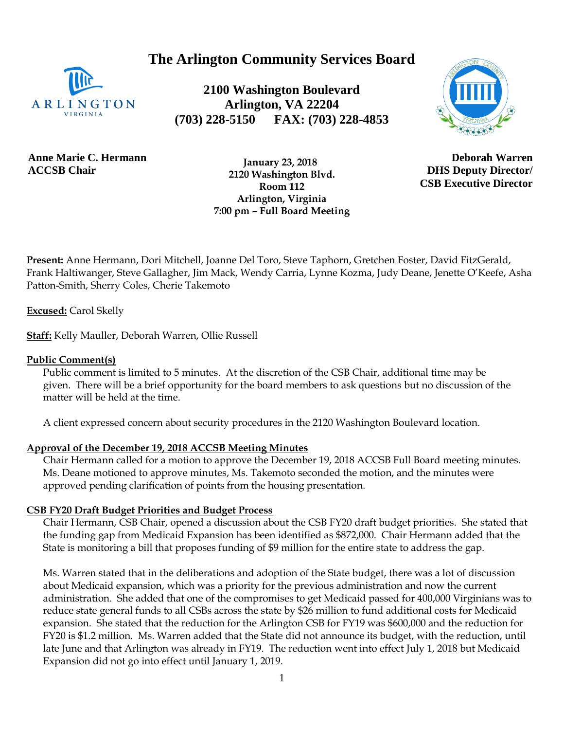**The Arlington Community Services Board**



**2100 Washington Boulevard Arlington, VA 22204 (703) 228-5150 FAX: (703) 228-4853**



**Anne Marie C. Hermann ACCSB Chair**

 **January 23, 2018 2120 Washington Blvd. Room 112 Arlington, Virginia 7:00 pm – Full Board Meeting**

**Deborah Warren DHS Deputy Director/ CSB Executive Director**

**Present:** Anne Hermann, Dori Mitchell, Joanne Del Toro, Steve Taphorn, Gretchen Foster, David FitzGerald, Frank Haltiwanger, Steve Gallagher, Jim Mack, Wendy Carria, Lynne Kozma, Judy Deane, Jenette O'Keefe, Asha Patton-Smith, Sherry Coles, Cherie Takemoto

**Excused:** Carol Skelly

**Staff:** Kelly Mauller, Deborah Warren, Ollie Russell

### **Public Comment(s)**

Public comment is limited to 5 minutes. At the discretion of the CSB Chair, additional time may be given. There will be a brief opportunity for the board members to ask questions [but](http://but.no/) no discussion of the matter will be held at the time.

A client expressed concern about security procedures in the 2120 Washington Boulevard location.

#### **Approval of the December 19, 2018 ACCSB Meeting Minutes**

Chair Hermann called for a motion to approve the December 19, 2018 ACCSB Full Board meeting minutes. Ms. Deane motioned to approve minutes, Ms. Takemoto seconded the motion, and the minutes were approved pending clarification of points from the housing presentation.

#### **CSB FY20 Draft Budget Priorities and Budget Process**

Chair Hermann, CSB Chair, opened a discussion about the CSB FY20 draft budget priorities. She stated that the funding gap from Medicaid Expansion has been identified as \$872,000. Chair Hermann added that the State is monitoring a bill that proposes funding of \$9 million for the entire state to address the gap.

Ms. Warren stated that in the deliberations and adoption of the State budget, there was a lot of discussion about Medicaid expansion, which was a priority for the previous administration and now the current administration. She added that one of the compromises to get Medicaid passed for 400,000 Virginians was to reduce state general funds to all CSBs across the state by \$26 million to fund additional costs for Medicaid expansion. She stated that the reduction for the Arlington CSB for FY19 was \$600,000 and the reduction for FY20 is \$1.2 million. Ms. Warren added that the State did not announce its budget, with the reduction, until late June and that Arlington was already in FY19. The reduction went into effect July 1, 2018 but Medicaid Expansion did not go into effect until January 1, 2019.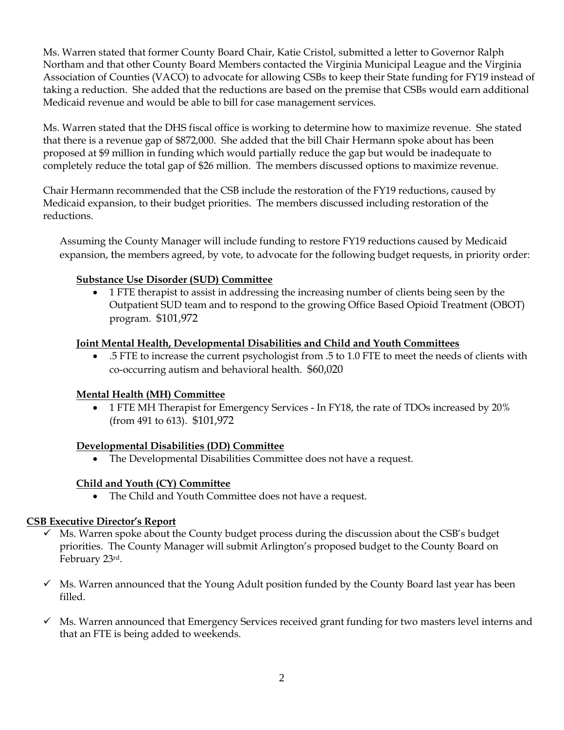Ms. Warren stated that former County Board Chair, Katie Cristol, submitted a letter to Governor Ralph Northam and that other County Board Members contacted the Virginia Municipal League and the Virginia Association of Counties (VACO) to advocate for allowing CSBs to keep their State funding for FY19 instead of taking a reduction. She added that the reductions are based on the premise that CSBs would earn additional Medicaid revenue and would be able to bill for case management services.

Ms. Warren stated that the DHS fiscal office is working to determine how to maximize revenue. She stated that there is a revenue gap of \$872,000. She added that the bill Chair Hermann spoke about has been proposed at \$9 million in funding which would partially reduce the gap but would be inadequate to completely reduce the total gap of \$26 million. The members discussed options to maximize revenue.

Chair Hermann recommended that the CSB include the restoration of the FY19 reductions, caused by Medicaid expansion, to their budget priorities. The members discussed including restoration of the reductions.

Assuming the County Manager will include funding to restore FY19 reductions caused by Medicaid expansion, the members agreed, by vote, to advocate for the following budget requests, in priority order:

# **Substance Use Disorder (SUD) Committee**

• 1 FTE therapist to assist in addressing the increasing number of clients being seen by the Outpatient SUD team and to respond to the growing Office Based Opioid Treatment (OBOT) program. \$101,972

### **Joint Mental Health, Developmental Disabilities and Child and Youth Committees**

• .5 FTE to increase the current psychologist from .5 to 1.0 FTE to meet the needs of clients with co-occurring autism and behavioral health. \$60,020

# **Mental Health (MH) Committee**

• 1 FTE MH Therapist for Emergency Services - In FY18, the rate of TDOs increased by 20% (from 491 to 613). \$101,972

# **Developmental Disabilities (DD) Committee**

• The Developmental Disabilities Committee does not have a request.

# **Child and Youth (CY) Committee**

• The Child and Youth Committee does not have a request.

#### **CSB Executive Director's Report**

- $\checkmark$  Ms. Warren spoke about the County budget process during the discussion about the CSB's budget priorities. The County Manager will submit Arlington's proposed budget to the County Board on February 23rd.
- $\checkmark$  Ms. Warren announced that the Young Adult position funded by the County Board last year has been filled.
- $\checkmark$  Ms. Warren announced that Emergency Services received grant funding for two masters level interns and that an FTE is being added to weekends.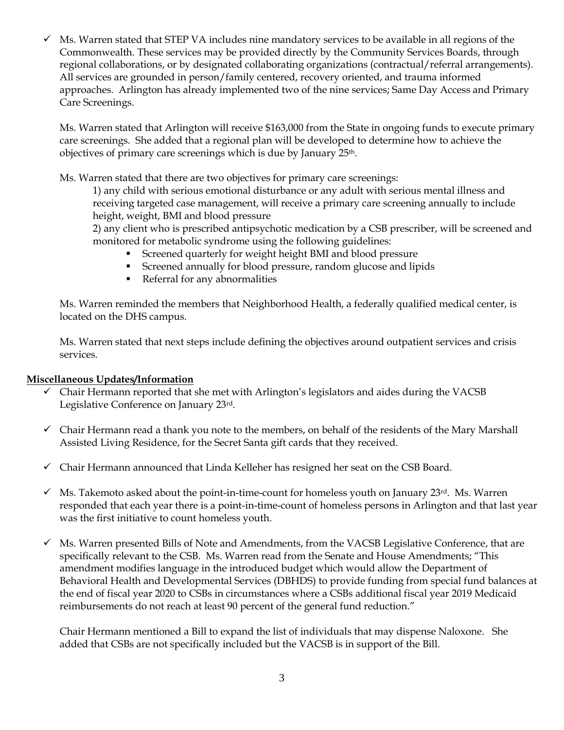$\checkmark$  Ms. Warren stated that STEP VA includes nine mandatory services to be available in all regions of the Commonwealth. These services may be provided directly by the Community Services Boards, through regional collaborations, or by designated collaborating organizations (contractual/referral arrangements). All services are grounded in person/family centered, recovery oriented, and trauma informed approaches. Arlington has already implemented two of the nine services; Same Day Access and Primary Care Screenings.

Ms. Warren stated that Arlington will receive \$163,000 from the State in ongoing funds to execute primary care screenings. She added that a regional plan will be developed to determine how to achieve the objectives of primary care screenings which is due by January 25<sup>th</sup>.

Ms. Warren stated that there are two objectives for primary care screenings:

1) any child with serious emotional disturbance or any adult with serious mental illness and receiving targeted case management, will receive a primary care screening annually to include height, weight, BMI and blood pressure

2) any client who is prescribed antipsychotic medication by a CSB prescriber, will be screened and monitored for metabolic syndrome using the following guidelines:

- Screened quarterly for weight height BMI and blood pressure
- Screened annually for blood pressure, random glucose and lipids
- **•** Referral for any abnormalities

Ms. Warren reminded the members that Neighborhood Health, a federally qualified medical center, is located on the DHS campus.

Ms. Warren stated that next steps include defining the objectives around outpatient services and crisis services.

# **Miscellaneous Updates/Information**

- $\checkmark$  Chair Hermann reported that she met with Arlington's legislators and aides during the VACSB Legislative Conference on January 23rd.
- $\checkmark$  Chair Hermann read a thank you note to the members, on behalf of the residents of the Mary Marshall Assisted Living Residence, for the Secret Santa gift cards that they received.
- ✓ Chair Hermann announced that Linda Kelleher has resigned her seat on the CSB Board.
- $\checkmark$  Ms. Takemoto asked about the point-in-time-count for homeless youth on January 23rd. Ms. Warren responded that each year there is a point-in-time-count of homeless persons in Arlington and that last year was the first initiative to count homeless youth.
- ✓ Ms. Warren presented Bills of Note and Amendments, from the VACSB Legislative Conference, that are specifically relevant to the CSB. Ms. Warren read from the Senate and House Amendments; "This amendment modifies language in the introduced budget which would allow the Department of Behavioral Health and Developmental Services (DBHDS) to provide funding from special fund balances at the end of fiscal year 2020 to CSBs in circumstances where a CSBs additional fiscal year 2019 Medicaid reimbursements do not reach at least 90 percent of the general fund reduction."

Chair Hermann mentioned a Bill to expand the list of individuals that may dispense Naloxone. She added that CSBs are not specifically included but the VACSB is in support of the Bill.